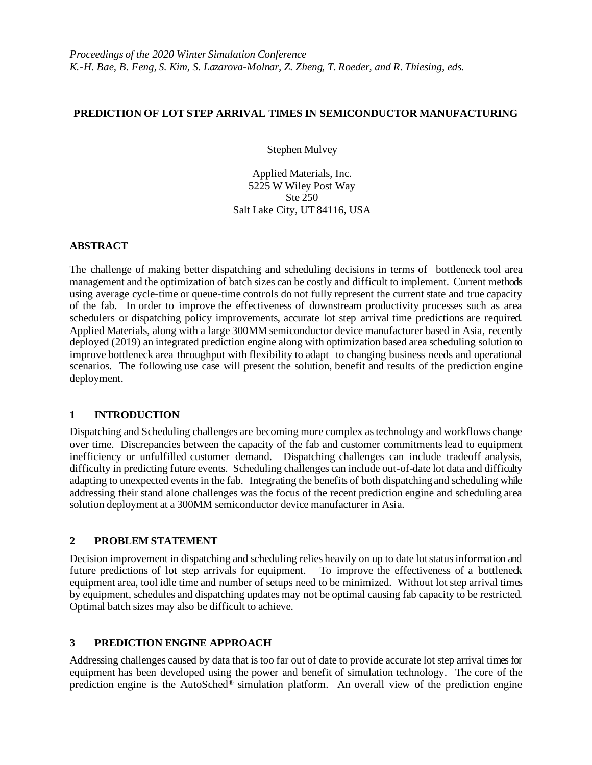#### **PREDICTION OF LOT STEP ARRIVAL TIMES IN SEMICONDUCTOR MANUFACTURING**

Stephen Mulvey

Applied Materials, Inc. 5225 W Wiley Post Way Ste 250 Salt Lake City, UT 84116, USA

#### **ABSTRACT**

The challenge of making better dispatching and scheduling decisions in terms of bottleneck tool area management and the optimization of batch sizes can be costly and difficult to implement. Current methods using average cycle-time or queue-time controls do not fully represent the current state and true capacity of the fab. In order to improve the effectiveness of downstream productivity processes such as area schedulers or dispatching policy improvements, accurate lot step arrival time predictions are required. Applied Materials, along with a large 300MM semiconductor device manufacturer based in Asia, recently deployed (2019) an integrated prediction engine along with optimization based area scheduling solution to improve bottleneck area throughput with flexibility to adapt to changing business needs and operational scenarios. The following use case will present the solution, benefit and results of the prediction engine deployment.

# **1 INTRODUCTION**

Dispatching and Scheduling challenges are becoming more complex as technology and workflows change over time. Discrepancies between the capacity of the fab and customer commitments lead to equipment inefficiency or unfulfilled customer demand. Dispatching challenges can include tradeoff analysis, difficulty in predicting future events. Scheduling challenges can include out-of-date lot data and difficulty adapting to unexpected events in the fab. Integrating the benefits of both dispatching and scheduling while addressing their stand alone challenges was the focus of the recent prediction engine and scheduling area solution deployment at a 300MM semiconductor device manufacturer in Asia.

# **2 PROBLEM STATEMENT**

Decision improvement in dispatching and scheduling relies heavily on up to date lot status information and future predictions of lot step arrivals for equipment. To improve the effectiveness of a bottleneck equipment area, tool idle time and number of setups need to be minimized. Without lot step arrival times by equipment, schedules and dispatching updates may not be optimal causing fab capacity to be restricted. Optimal batch sizes may also be difficult to achieve.

# **3 PREDICTION ENGINE APPROACH**

Addressing challenges caused by data that is too far out of date to provide accurate lot step arrival times for equipment has been developed using the power and benefit of simulation technology. The core of the prediction engine is the AutoSched® simulation platform. An overall view of the prediction engine